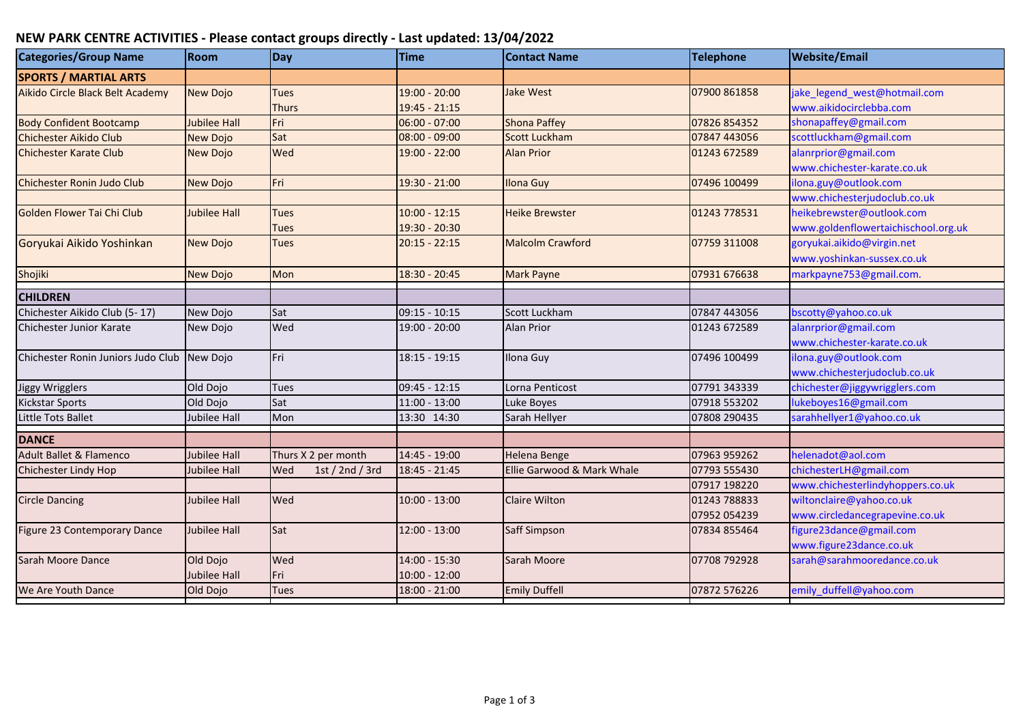## **NEW PARK CENTRE ACTIVITIES - Please contact groups directly - Last updated: 13/04/2022**

| <b>Categories/Group Name</b>       | <b>Room</b>         | <b>Day</b>             | <b>Time</b>     | <b>Contact Name</b>        | Telephone    | <b>Website/Email</b>                |
|------------------------------------|---------------------|------------------------|-----------------|----------------------------|--------------|-------------------------------------|
| <b>SPORTS / MARTIAL ARTS</b>       |                     |                        |                 |                            |              |                                     |
| Aikido Circle Black Belt Academy   | <b>New Dojo</b>     | <b>Tues</b>            | 19:00 - 20:00   | <b>Jake West</b>           | 07900 861858 | jake_legend_west@hotmail.com        |
|                                    |                     | <b>Thurs</b>           | 19:45 - 21:15   |                            |              | www.aikidocirclebba.com             |
| <b>Body Confident Bootcamp</b>     | <b>Jubilee Hall</b> | Fri                    | 06:00 - 07:00   | <b>Shona Paffey</b>        | 07826 854352 | shonapaffey@gmail.com               |
| Chichester Aikido Club             | <b>New Dojo</b>     | Sat                    | 08:00 - 09:00   | <b>Scott Luckham</b>       | 07847 443056 | scottluckham@gmail.com              |
| <b>Chichester Karate Club</b>      | New Dojo            | Wed                    | 19:00 - 22:00   | <b>Alan Prior</b>          | 01243 672589 | alanrprior@gmail.com                |
|                                    |                     |                        |                 |                            |              | www.chichester-karate.co.uk         |
| <b>Chichester Ronin Judo Club</b>  | <b>New Dojo</b>     | Fri                    | 19:30 - 21:00   | <b>Ilona Guy</b>           | 07496 100499 | ilona.guy@outlook.com               |
|                                    |                     |                        |                 |                            |              | www.chichesterjudoclub.co.uk        |
| Golden Flower Tai Chi Club         | <b>Jubilee Hall</b> | <b>Tues</b>            | $10:00 - 12:15$ | <b>Heike Brewster</b>      | 01243 778531 | heikebrewster@outlook.com           |
|                                    |                     | Tues                   | 19:30 - 20:30   |                            |              | www.goldenflowertaichischool.org.uk |
| Goryukai Aikido Yoshinkan          | <b>New Dojo</b>     | <b>Tues</b>            | $20:15 - 22:15$ | <b>Malcolm Crawford</b>    | 07759 311008 | goryukai.aikido@virgin.net          |
|                                    |                     |                        |                 |                            |              | www.yoshinkan-sussex.co.uk          |
| Shojiki                            | <b>New Dojo</b>     | Mon                    | 18:30 - 20:45   | <b>Mark Payne</b>          | 07931 676638 | markpayne753@gmail.com.             |
| <b>CHILDREN</b>                    |                     |                        |                 |                            |              |                                     |
| Chichester Aikido Club (5-17)      | New Dojo            | Sat                    | 09:15 - 10:15   | Scott Luckham              | 07847 443056 | bscotty@yahoo.co.uk                 |
| Chichester Junior Karate           | New Dojo            | Wed                    | 19:00 - 20:00   | <b>Alan Prior</b>          | 01243 672589 | alanrprior@gmail.com                |
|                                    |                     |                        |                 |                            |              | www.chichester-karate.co.uk         |
| Chichester Ronin Juniors Judo Club | New Dojo            | Fri                    | 18:15 - 19:15   | Ilona Guy                  | 07496 100499 | ilona.guy@outlook.com               |
|                                    |                     |                        |                 |                            |              | www.chichesterjudoclub.co.uk        |
| Jiggy Wrigglers                    | Old Dojo            | <b>Tues</b>            | 09:45 - 12:15   | Lorna Penticost            | 07791 343339 | chichester@jiggywrigglers.com       |
| <b>Kickstar Sports</b>             | Old Dojo            | Sat                    | 11:00 - 13:00   | Luke Boyes                 | 07918 553202 | lukeboyes16@gmail.com               |
| Little Tots Ballet                 | Jubilee Hall        | Mon                    | 13:30 14:30     | Sarah Hellyer              | 07808 290435 | sarahhellyer1@yahoo.co.uk           |
| <b>DANCE</b>                       |                     |                        |                 |                            |              |                                     |
| <b>Adult Ballet &amp; Flamenco</b> | <b>Jubilee Hall</b> | Thurs X 2 per month    | 14:45 - 19:00   | <b>Helena Benge</b>        | 07963 959262 | helenadot@aol.com                   |
| Chichester Lindy Hop               | Jubilee Hall        | Wed<br>1st / 2nd / 3rd | 18:45 - 21:45   | Ellie Garwood & Mark Whale | 07793 555430 | chichesterLH@gmail.com              |
|                                    |                     |                        |                 |                            | 07917 198220 | www.chichesterlindyhoppers.co.uk    |
| <b>Circle Dancing</b>              | Jubilee Hall        | Wed                    | $10:00 - 13:00$ | Claire Wilton              | 01243 788833 | wiltonclaire@yahoo.co.uk            |
|                                    |                     |                        |                 |                            | 07952 054239 | www.circledancegrapevine.co.uk      |
| Figure 23 Contemporary Dance       | Jubilee Hall        | Sat                    | 12:00 - 13:00   | Saff Simpson               | 07834 855464 | figure23dance@gmail.com             |
|                                    |                     |                        |                 |                            |              | www.figure23dance.co.uk             |
| Sarah Moore Dance                  | Old Dojo            | Wed                    | 14:00 - 15:30   | Sarah Moore                | 07708 792928 | sarah@sarahmooredance.co.uk         |
|                                    | <b>Jubilee Hall</b> | Fri                    | 10:00 - 12:00   |                            |              |                                     |
| We Are Youth Dance                 | Old Dojo            | <b>Tues</b>            | 18:00 - 21:00   | <b>Emily Duffell</b>       | 07872 576226 | emily_duffell@yahoo.com             |
|                                    |                     |                        |                 |                            |              |                                     |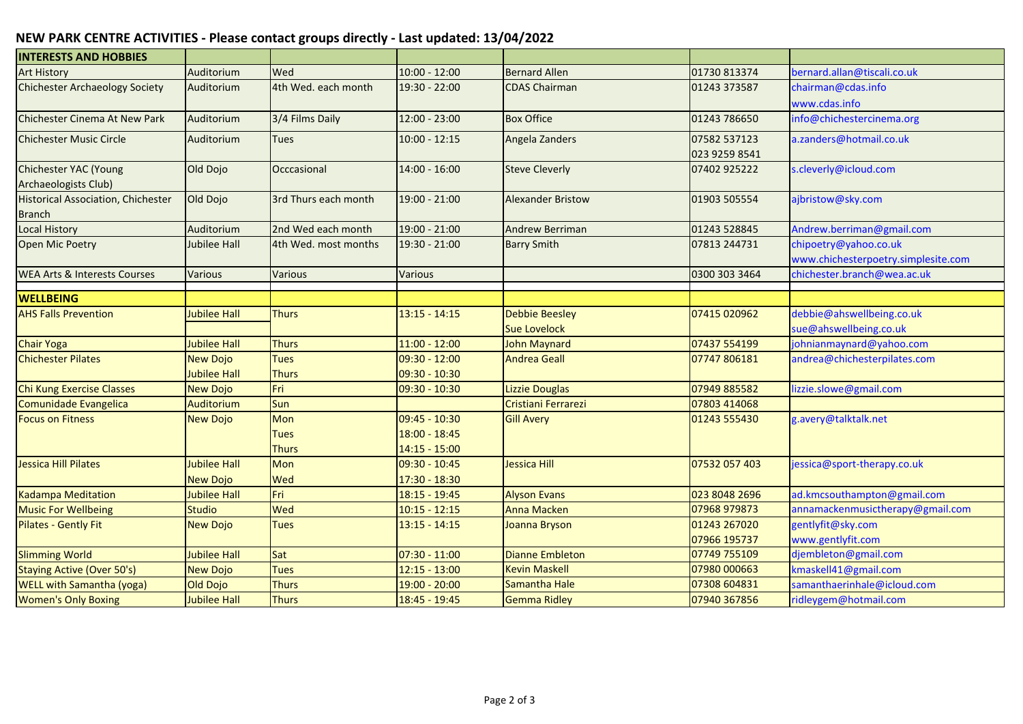## **NEW PARK CENTRE ACTIVITIES - Please contact groups directly - Last updated: 13/04/2022**

| <b>INTERESTS AND HOBBIES</b>              |                     |                      |                 |                          |               |                                     |
|-------------------------------------------|---------------------|----------------------|-----------------|--------------------------|---------------|-------------------------------------|
| <b>Art History</b>                        | Auditorium          | Wed                  | $10:00 - 12:00$ | <b>Bernard Allen</b>     | 01730 813374  | bernard.allan@tiscali.co.uk         |
| <b>Chichester Archaeology Society</b>     | Auditorium          | 4th Wed. each month  | 19:30 - 22:00   | <b>CDAS Chairman</b>     | 01243 373587  | chairman@cdas.info                  |
|                                           |                     |                      |                 |                          |               | www.cdas.info                       |
| Chichester Cinema At New Park             | Auditorium          | 3/4 Films Daily      | $12:00 - 23:00$ | <b>Box Office</b>        | 01243 786650  | info@chichestercinema.org           |
| <b>Chichester Music Circle</b>            | Auditorium          | Tues                 | $10:00 - 12:15$ | Angela Zanders           | 07582 537123  | a.zanders@hotmail.co.uk             |
|                                           |                     |                      |                 |                          | 023 9259 8541 |                                     |
| <b>Chichester YAC (Young</b>              | Old Dojo            | Occcasional          | $14:00 - 16:00$ | <b>Steve Cleverly</b>    | 07402 925222  | s.cleverly@icloud.com               |
| Archaeologists Club)                      |                     |                      |                 |                          |               |                                     |
| <b>Historical Association, Chichester</b> | Old Dojo            | 3rd Thurs each month | 19:00 - 21:00   | <b>Alexander Bristow</b> | 01903 505554  | ajbristow@sky.com                   |
| <b>Branch</b>                             |                     |                      |                 |                          |               |                                     |
| <b>Local History</b>                      | Auditorium          | 2nd Wed each month   | 19:00 - 21:00   | <b>Andrew Berriman</b>   | 01243 528845  | Andrew.berriman@gmail.com           |
| Open Mic Poetry                           | Jubilee Hall        | 4th Wed. most months | 19:30 - 21:00   | <b>Barry Smith</b>       | 07813 244731  | chipoetry@yahoo.co.uk               |
|                                           |                     |                      |                 |                          |               | www.chichesterpoetry.simplesite.com |
| <b>WEA Arts &amp; Interests Courses</b>   | <b>Various</b>      | Various              | <b>Various</b>  |                          | 0300 303 3464 | chichester.branch@wea.ac.uk         |
| <b>WELLBEING</b>                          |                     |                      |                 |                          |               |                                     |
| <b>AHS Falls Prevention</b>               | Jubilee Hall        | <b>Thurs</b>         | $13:15 - 14:15$ | <b>Debbie Beesley</b>    | 07415 020962  | debbie@ahswellbeing.co.uk           |
|                                           |                     |                      |                 | <b>Sue Lovelock</b>      |               | sue@ahswellbeing.co.uk              |
| <b>Chair Yoga</b>                         | <b>Jubilee Hall</b> | <b>Thurs</b>         | $11:00 - 12:00$ | <b>John Maynard</b>      | 07437 554199  | johnianmaynard@yahoo.com            |
| <b>Chichester Pilates</b>                 | <b>New Dojo</b>     | <b>Tues</b>          | $09:30 - 12:00$ | <b>Andrea Geall</b>      | 07747 806181  | andrea@chichesterpilates.com        |
|                                           | <b>Jubilee Hall</b> | <b>Thurs</b>         | 09:30 - 10:30   |                          |               |                                     |
| Chi Kung Exercise Classes                 | <b>New Dojo</b>     | Fri                  | $09:30 - 10:30$ | <b>Lizzie Douglas</b>    | 07949 885582  | lizzie.slowe@gmail.com              |
| Comunidade Evangelica                     | Auditorium          | Sun                  |                 | Cristiani Ferrarezi      | 07803 414068  |                                     |
| <b>Focus on Fitness</b>                   | <b>New Dojo</b>     | Mon                  | 09:45 - 10:30   | <b>Gill Avery</b>        | 01243 555430  | g.avery@talktalk.net                |
|                                           |                     | <b>Tues</b>          | 18:00 - 18:45   |                          |               |                                     |
|                                           |                     | <b>Thurs</b>         | $14:15 - 15:00$ |                          |               |                                     |
| Jessica Hill Pilates                      | <b>Jubilee Hall</b> | Mon                  | 09:30 - 10:45   | <b>Jessica Hill</b>      | 07532 057 403 | jessica@sport-therapy.co.uk         |
|                                           | <b>New Dojo</b>     | Wed                  | 17:30 - 18:30   |                          |               |                                     |
| <b>Kadampa Meditation</b>                 | <b>Jubilee Hall</b> | Fri                  | 18:15 - 19:45   | <b>Alyson Evans</b>      | 023 8048 2696 | ad.kmcsouthampton@gmail.com         |
| <b>Music For Wellbeing</b>                | <b>Studio</b>       | Wed                  | $10:15 - 12:15$ | <b>Anna Macken</b>       | 07968 979873  | annamackenmusictherapy@gmail.com    |
| <b>Pilates - Gently Fit</b>               | <b>New Dojo</b>     | <b>Tues</b>          | $13:15 - 14:15$ | Joanna Bryson            | 01243 267020  | gentlyfit@sky.com                   |
|                                           |                     |                      |                 |                          | 07966 195737  | www.gentlyfit.com                   |
| <b>Slimming World</b>                     | <b>Jubilee Hall</b> | Sat                  | $07:30 - 11:00$ | <b>Dianne Embleton</b>   | 07749 755109  | djembleton@gmail.com                |
| <b>Staying Active (Over 50's)</b>         | <b>New Dojo</b>     | <b>Tues</b>          | $12:15 - 13:00$ | <b>Kevin Maskell</b>     | 07980 000663  | kmaskell41@gmail.com                |
| <b>WELL with Samantha (yoga)</b>          | Old Dojo            | <b>Thurs</b>         | 19:00 - 20:00   | Samantha Hale            | 07308 604831  | samanthaerinhale@icloud.com         |
| <b>Women's Only Boxing</b>                | <b>Jubilee Hall</b> | <b>Thurs</b>         | 18:45 - 19:45   | <b>Gemma Ridley</b>      | 07940 367856  | ridleygem@hotmail.com               |